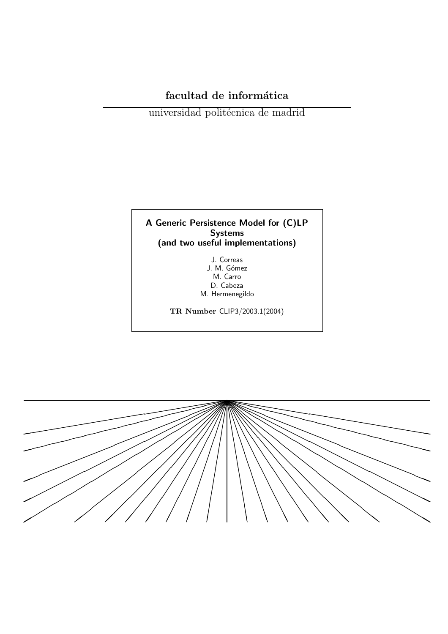# facultad de informática

universidad politécnica de madrid

# A Generic Persistence Model for (C)LP<br>Systems (and two useful implementations)

J. Correas J. M. Gómez M. Carro D. Cabeza M. Hermenegildo

TR Number CLIP3/2003.1(2004)

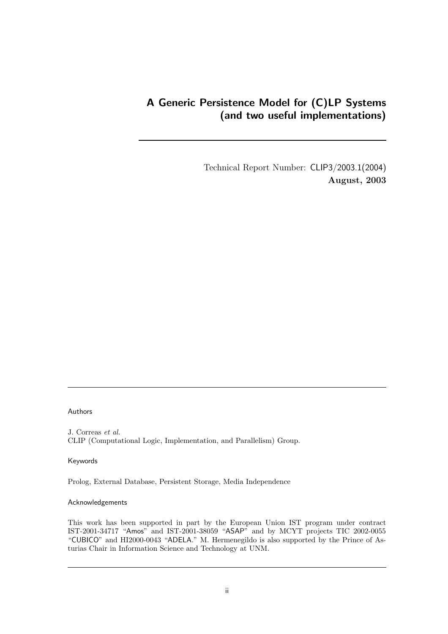## A Generic Persistence Model for (C)LP Systems (and two useful implementations)

Technical Report Number: CLIP3/2003.1(2004) August, 2003

#### Authors

J. Correas et al. CLIP (Computational Logic, Implementation, and Parallelism) Group.

#### Keywords

Prolog, External Database, Persistent Storage, Media Independence

#### Acknowledgements

This work has been supported in part by the European Union IST program under contract IST-2001-34717 "Amos" and IST-2001-38059 "ASAP" and by MCYT projects TIC 2002-0055 "CUBICO" and HI2000-0043 "ADELA." M. Hermenegildo is also supported by the Prince of Asturias Chair in Information Science and Technology at UNM.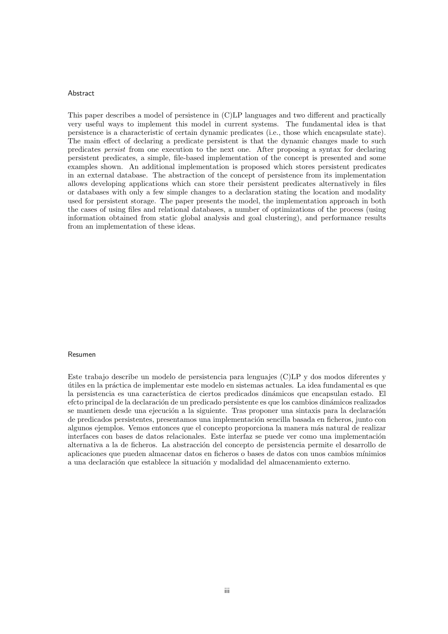#### Abstract

This paper describes a model of persistence in (C)LP languages and two different and practically very useful ways to implement this model in current systems. The fundamental idea is that persistence is a characteristic of certain dynamic predicates (i.e., those which encapsulate state). The main effect of declaring a predicate persistent is that the dynamic changes made to such predicates persist from one execution to the next one. After proposing a syntax for declaring persistent predicates, a simple, file-based implementation of the concept is presented and some examples shown. An additional implementation is proposed which stores persistent predicates in an external database. The abstraction of the concept of persistence from its implementation allows developing applications which can store their persistent predicates alternatively in files or databases with only a few simple changes to a declaration stating the location and modality used for persistent storage. The paper presents the model, the implementation approach in both the cases of using files and relational databases, a number of optimizations of the process (using information obtained from static global analysis and goal clustering), and performance results from an implementation of these ideas.

#### Resumen

Este trabajo describe un modelo de persistencia para lenguajes (C)LP y dos modos diferentes y útiles en la práctica de implementar este modelo en sistemas actuales. La idea fundamental es que la persistencia es una característica de ciertos predicados dinámicos que encapsulan estado. El efcto principal de la declaración de un predicado persistente es que los cambios dinámicos realizados se mantienen desde una ejecución a la siguiente. Tras proponer una sintaxis para la declaración de predicados persistentes, presentamos una implementación sencilla basada en ficheros, junto con algunos ejemplos. Vemos entonces que el concepto proporciona la manera más natural de realizar interfaces con bases de datos relacionales. Este interfaz se puede ver como una implementación alternativa a la de ficheros. La abstracción del concepto de persistencia permite el desarrollo de aplicaciones que pueden almacenar datos en ficheros o bases de datos con unos cambios m´ınimios a una declaración que establece la situación y modalidad del almacenamiento externo.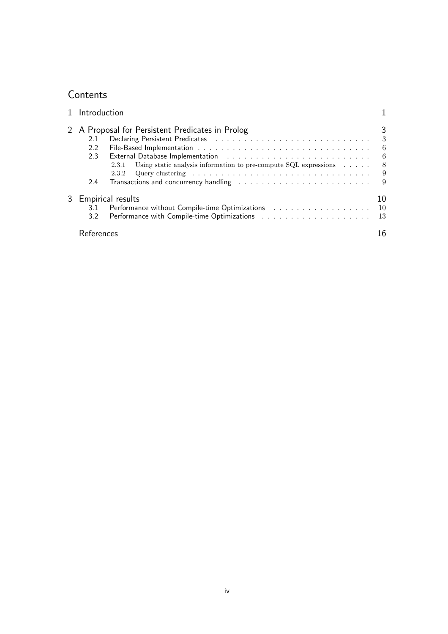# **Contents**

| 1 Introduction                                                                                                                                                                                                                                                                                                                                                                                                                                                                                                                                                                                                                                                                                                                                        |                                      |
|-------------------------------------------------------------------------------------------------------------------------------------------------------------------------------------------------------------------------------------------------------------------------------------------------------------------------------------------------------------------------------------------------------------------------------------------------------------------------------------------------------------------------------------------------------------------------------------------------------------------------------------------------------------------------------------------------------------------------------------------------------|--------------------------------------|
| 2 A Proposal for Persistent Predicates in Prolog<br>2.1<br>2.2<br>External Database Implementation (ed. to a contract of a contract of the contract of the contract of the contract of the contract of the contract of the contract of the contract of the contract of the contract of the contr<br>2.3<br>Using static analysis information to pre-compute $SQL$ expressions $\dots$ .<br>2.3.1<br>Query clustering $\ldots \ldots \ldots \ldots \ldots \ldots \ldots \ldots \ldots \ldots \ldots$<br>2.3.2<br>Transactions and concurrency handling (a) results and solution of the set of the set of the set of the set of the set of the set of the set of the set of the set of the set of the set of the set of the set of the set of th<br>2.4 | 3<br>- 3<br>- 6<br>- 6<br>- 8<br>- 9 |
| 3 Empirical results<br>Performance without Compile-time Optimizations 10<br>3.1<br>3.2 <sub>2</sub>                                                                                                                                                                                                                                                                                                                                                                                                                                                                                                                                                                                                                                                   | 10<br>- 13                           |
| References                                                                                                                                                                                                                                                                                                                                                                                                                                                                                                                                                                                                                                                                                                                                            | 16                                   |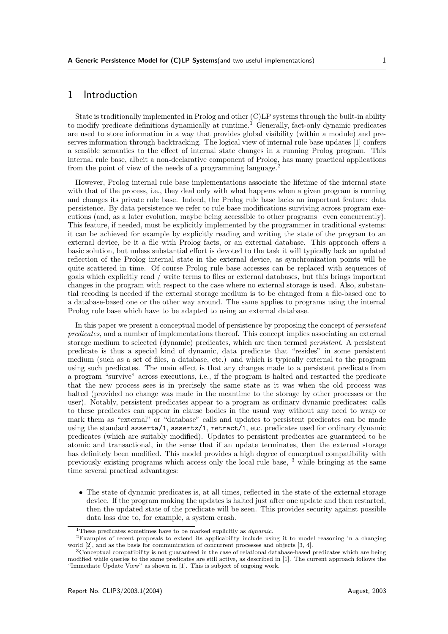### 1 Introduction

State is traditionally implemented in Prolog and other (C)LP systems through the built-in ability to modify predicate definitions dynamically at runtime.<sup>1</sup> Generally, fact-only dynamic predicates are used to store information in a way that provides global visibility (within a module) and preserves information through backtracking. The logical view of internal rule base updates [1] confers a sensible semantics to the effect of internal state changes in a running Prolog program. This internal rule base, albeit a non-declarative component of Prolog, has many practical applications from the point of view of the needs of a programming language.<sup>2</sup>

However, Prolog internal rule base implementations associate the lifetime of the internal state with that of the process, i.e., they deal only with what happens when a given program is running and changes its private rule base. Indeed, the Prolog rule base lacks an important feature: data persistence. By data persistence we refer to rule base modifications surviving across program executions (and, as a later evolution, maybe being accessible to other programs –even concurrently). This feature, if needed, must be explicitly implemented by the programmer in traditional systems: it can be achieved for example by explicitly reading and writing the state of the program to an external device, be it a file with Prolog facts, or an external database. This approach offers a basic solution, but unless substantial effort is devoted to the task it will typically lack an updated reflection of the Prolog internal state in the external device, as synchronization points will be quite scattered in time. Of course Prolog rule base accesses can be replaced with sequences of goals which explicitly read / write terms to files or external databases, but this brings important changes in the program with respect to the case where no external storage is used. Also, substantial recoding is needed if the external storage medium is to be changed from a file-based one to a database-based one or the other way around. The same applies to programs using the internal Prolog rule base which have to be adapted to using an external database.

In this paper we present a conceptual model of persistence by proposing the concept of persistent predicates, and a number of implementations thereof. This concept implies associating an external storage medium to selected (dynamic) predicates, which are then termed persistent. A persistent predicate is thus a special kind of dynamic, data predicate that "resides" in some persistent medium (such as a set of files, a database, etc.) and which is typically external to the program using such predicates. The main effect is that any changes made to a persistent predicate from a program "survive" across executions, i.e., if the program is halted and restarted the predicate that the new process sees is in precisely the same state as it was when the old process was halted (provided no change was made in the meantime to the storage by other processes or the user). Notably, persistent predicates appear to a program as ordinary dynamic predicates: calls to these predicates can appear in clause bodies in the usual way without any need to wrap or mark them as "external" or "database" calls and updates to persistent predicates can be made using the standard asserta/1, assertz/1, retract/1, etc. predicates used for ordinary dynamic predicates (which are suitably modified). Updates to persistent predicates are guaranteed to be atomic and transactional, in the sense that if an update terminates, then the external storage has definitely been modified. This model provides a high degree of conceptual compatibility with previously existing programs which access only the local rule base, <sup>3</sup> while bringing at the same time several practical advantages:

• The state of dynamic predicates is, at all times, reflected in the state of the external storage device. If the program making the updates is halted just after one update and then restarted, then the updated state of the predicate will be seen. This provides security against possible data loss due to, for example, a system crash.

<sup>&</sup>lt;sup>1</sup>These predicates sometimes have to be marked explicitly as  $dynamic$ .

<sup>2</sup>Examples of recent proposals to extend its applicability include using it to model reasoning in a changing world [2], and as the basis for communication of concurrent processes and objects [3, 4].

<sup>3</sup>Conceptual compatibility is not guaranteed in the case of relational database-based predicates which are being modified while queries to the same predicates are still active, as described in [1]. The current approach follows the "Immediate Update View" as shown in [1]. This is subject of ongoing work.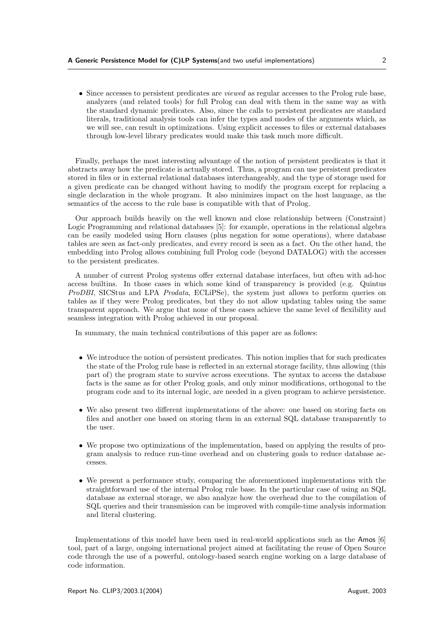• Since accesses to persistent predicates are viewed as regular accesses to the Prolog rule base, analyzers (and related tools) for full Prolog can deal with them in the same way as with the standard dynamic predicates. Also, since the calls to persistent predicates are standard literals, traditional analysis tools can infer the types and modes of the arguments which, as we will see, can result in optimizations. Using explicit accesses to files or external databases through low-level library predicates would make this task much more difficult.

Finally, perhaps the most interesting advantage of the notion of persistent predicates is that it abstracts away how the predicate is actually stored. Thus, a program can use persistent predicates stored in files or in external relational databases interchangeably, and the type of storage used for a given predicate can be changed without having to modify the program except for replacing a single declaration in the whole program. It also minimizes impact on the host language, as the semantics of the access to the rule base is compatible with that of Prolog.

Our approach builds heavily on the well known and close relationship between (Constraint) Logic Programming and relational databases [5]: for example, operations in the relational algebra can be easily modeled using Horn clauses (plus negation for some operations), where database tables are seen as fact-only predicates, and every record is seen as a fact. On the other hand, the embedding into Prolog allows combining full Prolog code (beyond DATALOG) with the accesses to the persistent predicates.

A number of current Prolog systems offer external database interfaces, but often with ad-hoc access builtins. In those cases in which some kind of transparency is provided (e.g. Quintus ProDBI, SICStus and LPA Prodata, ECLiPSe), the system just allows to perform queries on tables as if they were Prolog predicates, but they do not allow updating tables using the same transparent approach. We argue that none of these cases achieve the same level of flexibility and seamless integration with Prolog achieved in our proposal.

In summary, the main technical contributions of this paper are as follows:

- We introduce the notion of persistent predicates. This notion implies that for such predicates the state of the Prolog rule base is reflected in an external storage facility, thus allowing (this part of) the program state to survive across executions. The syntax to access the database facts is the same as for other Prolog goals, and only minor modifications, orthogonal to the program code and to its internal logic, are needed in a given program to achieve persistence.
- We also present two different implementations of the above: one based on storing facts on files and another one based on storing them in an external SQL database transparently to the user.
- We propose two optimizations of the implementation, based on applying the results of program analysis to reduce run-time overhead and on clustering goals to reduce database accesses.
- We present a performance study, comparing the aforementioned implementations with the straightforward use of the internal Prolog rule base. In the particular case of using an SQL database as external storage, we also analyze how the overhead due to the compilation of SQL queries and their transmission can be improved with compile-time analysis information and literal clustering.

Implementations of this model have been used in real-world applications such as the Amos [6] tool, part of a large, ongoing international project aimed at facilitating the reuse of Open Source code through the use of a powerful, ontology-based search engine working on a large database of code information.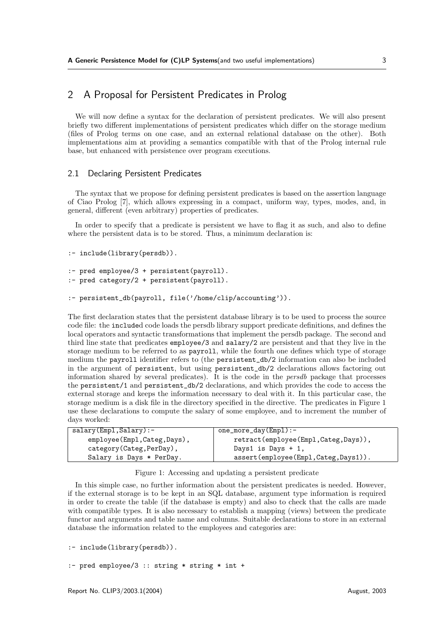### 2 A Proposal for Persistent Predicates in Prolog

We will now define a syntax for the declaration of persistent predicates. We will also present briefly two different implementations of persistent predicates which differ on the storage medium (files of Prolog terms on one case, and an external relational database on the other). Both implementations aim at providing a semantics compatible with that of the Prolog internal rule base, but enhanced with persistence over program executions.

#### 2.1 Declaring Persistent Predicates

The syntax that we propose for defining persistent predicates is based on the assertion language of Ciao Prolog [7], which allows expressing in a compact, uniform way, types, modes, and, in general, different (even arbitrary) properties of predicates.

In order to specify that a predicate is persistent we have to flag it as such, and also to define where the persistent data is to be stored. Thus, a minimum declaration is:

```
:- include(library(persdb)).
```

```
:- pred employee/3 + persistent(payroll).
:- pred category/2 + persistent(payroll).
```

```
:- persistent_db(payroll, file('/home/clip/accounting')).
```
The first declaration states that the persistent database library is to be used to process the source code file: the included code loads the persdb library support predicate definitions, and defines the local operators and syntactic transformations that implement the persdb package. The second and third line state that predicates employee/3 and salary/2 are persistent and that they live in the storage medium to be referred to as payroll, while the fourth one defines which type of storage medium the payroll identifier refers to (the persistent\_db/2 information can also be included in the argument of persistent, but using persistent\_db/2 declarations allows factoring out information shared by several predicates). It is the code in the persdb package that processes the persistent/1 and persistent\_db/2 declarations, and which provides the code to access the external storage and keeps the information necessary to deal with it. In this particular case, the storage medium is a disk file in the directory specified in the directive. The predicates in Figure 1 use these declarations to compute the salary of some employee, and to increment the number of days worked:

| salary(Emp1, Salary):      | one_more_day(Empl):-                |
|----------------------------|-------------------------------------|
| employee(Empl,Categ,Days), | retract(employee(Empl,Categ,Days)), |
| category (Categ, PerDay),  | Days1 is Days $+1$ ,                |
| Salary is Days * PerDay.   | assert(employee(Empl,Categ,Days1)). |

Figure 1: Accessing and updating a persistent predicate

In this simple case, no further information about the persistent predicates is needed. However, if the external storage is to be kept in an SQL database, argument type information is required in order to create the table (if the database is empty) and also to check that the calls are made with compatible types. It is also necessary to establish a mapping (views) between the predicate functor and arguments and table name and columns. Suitable declarations to store in an external database the information related to the employees and categories are:

```
:- include(library(persdb)).
```

```
:- pred employee/3 :: string * string * int +
```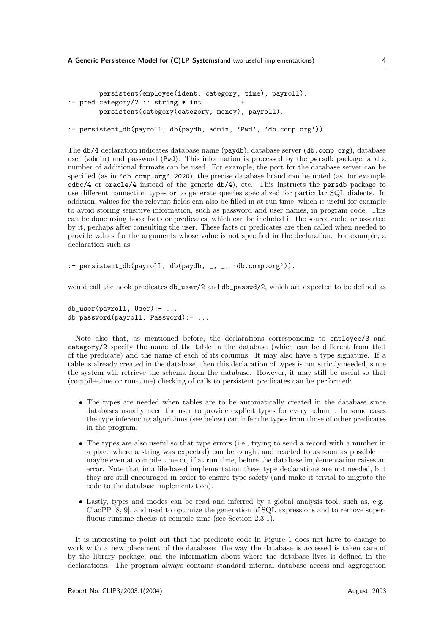```
persistent(employee(ident, category, time), payroll).
:- pred category/2 :: string * int
       persistent(category(category, money), payroll).
```

```
:- persistent db(payroll, db(paydb, admin, 'Pwd', 'db.comp.org')).
```
The db/4 declaration indicates database name (paydb), database server (db.comp.org), database user (admin) and password (Pwd). This information is processed by the persdb package, and a number of additional formats can be used. For example, the port for the database server can be specified (as in 'db.comp.org':2020), the precise database brand can be noted (as, for example odbc/4 or oracle/4 instead of the generic db/4), etc. This instructs the persdb package to use different connection types or to generate queries specialized for particular SQL dialects. In addition, values for the relevant fields can also be filled in at run time, which is useful for example to avoid storing sensitive information, such as password and user names, in program code. This can be done using hook facts or predicates, which can be included in the source code, or asserted by it, perhaps after consulting the user. These facts or predicates are then called when needed to provide values for the arguments whose value is not specified in the declaration. For example, a declaration such as:

```
:- persistent_db(payroll, db(paydb, \overline{a}, \overline{a}, 'db.comp.org')).
```
would call the hook predicates  $db_user/2$  and  $db-passwd/2$ , which are expected to be defined as

```
db_user(payroll, User):- ...
db_password(payroll, Password):- ...
```
Note also that, as mentioned before, the declarations corresponding to employee/3 and category/2 specify the name of the table in the database (which can be different from that of the predicate) and the name of each of its columns. It may also have a type signature. If a table is already created in the database, then this declaration of types is not strictly needed, since the system will retrieve the schema from the database. However, it may still be useful so that (compile-time or run-time) checking of calls to persistent predicates can be performed:

- The types are needed when tables are to be automatically created in the database since databases usually need the user to provide explicit types for every column. In some cases the type inferencing algorithms (see below) can infer the types from those of other predicates in the program.
- The types are also useful so that type errors (i.e., trying to send a record with a number in a place where a string was expected) can be caught and reacted to as soon as possible maybe even at compile time or, if at run time, before the database implementation raises an error. Note that in a file-based implementation these type declarations are not needed, but they are still encouraged in order to ensure type-safety (and make it trivial to migrate the code to the database implementation).
- Lastly, types and modes can be read and inferred by a global analysis tool, such as, e.g., CiaoPP [8, 9], and used to optimize the generation of SQL expressions and to remove superfluous runtime checks at compile time (see Section 2.3.1).

It is interesting to point out that the predicate code in Figure 1 does not have to change to work with a new placement of the database: the way the database is accessed is taken care of by the library package, and the information about where the database lives is defined in the declarations. The program always contains standard internal database access and aggregation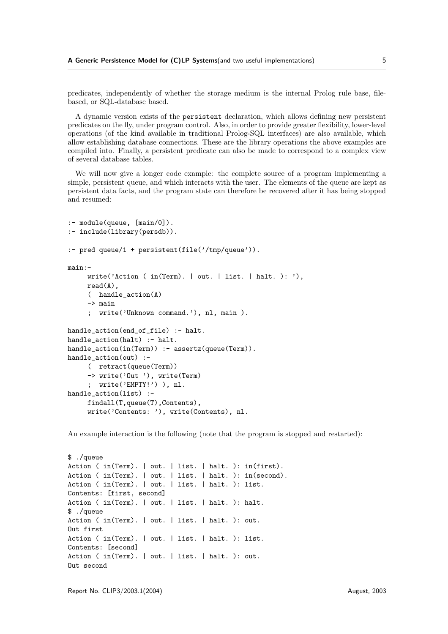predicates, independently of whether the storage medium is the internal Prolog rule base, filebased, or SQL-database based.

A dynamic version exists of the persistent declaration, which allows defining new persistent predicates on the fly, under program control. Also, in order to provide greater flexibility, lower-level operations (of the kind available in traditional Prolog-SQL interfaces) are also available, which allow establishing database connections. These are the library operations the above examples are compiled into. Finally, a persistent predicate can also be made to correspond to a complex view of several database tables.

We will now give a longer code example: the complete source of a program implementing a simple, persistent queue, and which interacts with the user. The elements of the queue are kept as persistent data facts, and the program state can therefore be recovered after it has being stopped and resumed:

```
:- module(queue, [main/0]).
:- include(library(persdb)).
:- pred queue/1 + persistent(file('/tmp/queue')).
main:-
    write('Action ( in(Term). | out. | list. | halt. ): '),
    read(A).
     ( handle_action(A)
    -> main
     ; write('Unknown command.'), nl, main ).
handle_action(end_of_file) :- halt.
handle_action(halt) :- halt.
handle_action(in(Term)) :- assertz(queue(Term)).
handle_action(out) :-
     ( retract(queue(Term))
    -> write('Out '), write(Term)
     ; write('EMPTY!') ), nl.
handle action(list) :-
    findall(T,queue(T),Contents),
     write('Contents: '), write(Contents), nl.
```
An example interaction is the following (note that the program is stopped and restarted):

```
$ ./queue
Action ( in(Term). | out. | list. | halt. ): in(first).
Action ( in(Term). | out. | list. | halt. ): in(second).
Action ( in(Term). | out. | list. | halt. ): list.
Contents: [first, second]
Action ( in(Term). | out. | list. | halt. ): halt.
$ ./queue
Action ( in(Term). | out. | list. | halt. ): out.
Out first
Action ( in(Term). | out. | list. | halt. ): list.
Contents: [second]
Action ( in(Term). | out. | list. | halt. ): out.
Out second
```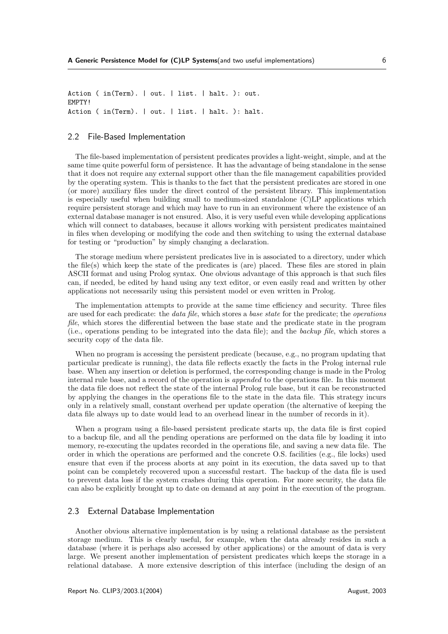Action ( in(Term). | out. | list. | halt. ): out. EMPTY! Action ( in(Term). | out. | list. | halt. ): halt.

#### 2.2 File-Based Implementation

The file-based implementation of persistent predicates provides a light-weight, simple, and at the same time quite powerful form of persistence. It has the advantage of being standalone in the sense that it does not require any external support other than the file management capabilities provided by the operating system. This is thanks to the fact that the persistent predicates are stored in one (or more) auxiliary files under the direct control of the persistent library. This implementation is especially useful when building small to medium-sized standalone (C)LP applications which require persistent storage and which may have to run in an environment where the existence of an external database manager is not ensured. Also, it is very useful even while developing applications which will connect to databases, because it allows working with persistent predicates maintained in files when developing or modifying the code and then switching to using the external database for testing or "production" by simply changing a declaration.

The storage medium where persistent predicates live in is associated to a directory, under which the file(s) which keep the state of the predicates is (are) placed. These files are stored in plain ASCII format and using Prolog syntax. One obvious advantage of this approach is that such files can, if needed, be edited by hand using any text editor, or even easily read and written by other applications not necessarily using this persistent model or even written in Prolog.

The implementation attempts to provide at the same time efficiency and security. Three files are used for each predicate: the *data file*, which stores a base state for the predicate; the *operations* file, which stores the differential between the base state and the predicate state in the program (i.e., operations pending to be integrated into the data file); and the backup file, which stores a security copy of the data file.

When no program is accessing the persistent predicate (because, e.g., no program updating that particular predicate is running), the data file reflects exactly the facts in the Prolog internal rule base. When any insertion or deletion is performed, the corresponding change is made in the Prolog internal rule base, and a record of the operation is appended to the operations file. In this moment the data file does not reflect the state of the internal Prolog rule base, but it can be reconstructed by applying the changes in the operations file to the state in the data file. This strategy incurs only in a relatively small, constant overhead per update operation (the alternative of keeping the data file always up to date would lead to an overhead linear in the number of records in it).

When a program using a file-based persistent predicate starts up, the data file is first copied to a backup file, and all the pending operations are performed on the data file by loading it into memory, re-executing the updates recorded in the operations file, and saving a new data file. The order in which the operations are performed and the concrete O.S. facilities (e.g., file locks) used ensure that even if the process aborts at any point in its execution, the data saved up to that point can be completely recovered upon a successful restart. The backup of the data file is used to prevent data loss if the system crashes during this operation. For more security, the data file can also be explicitly brought up to date on demand at any point in the execution of the program.

#### 2.3 External Database Implementation

Another obvious alternative implementation is by using a relational database as the persistent storage medium. This is clearly useful, for example, when the data already resides in such a database (where it is perhaps also accessed by other applications) or the amount of data is very large. We present another implementation of persistent predicates which keeps the storage in a relational database. A more extensive description of this interface (including the design of an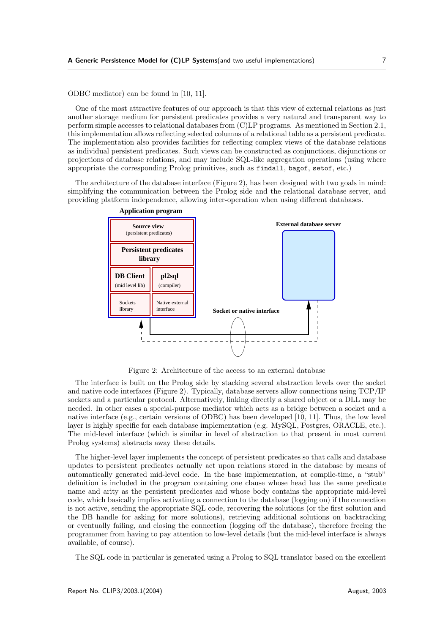ODBC mediator) can be found in [10, 11].

One of the most attractive features of our approach is that this view of external relations as just another storage medium for persistent predicates provides a very natural and transparent way to perform simple accesses to relational databases from (C)LP programs. As mentioned in Section 2.1, this implementation allows reflecting selected columns of a relational table as a persistent predicate. The implementation also provides facilities for reflecting complex views of the database relations as individual persistent predicates. Such views can be constructed as conjunctions, disjunctions or projections of database relations, and may include SQL-like aggregation operations (using where appropriate the corresponding Prolog primitives, such as findall, bagof, setof, etc.)

The architecture of the database interface (Figure 2), has been designed with two goals in mind: simplifying the communication between the Prolog side and the relational database server, and providing platform independence, allowing inter-operation when using different databases.



Figure 2: Architecture of the access to an external database

The interface is built on the Prolog side by stacking several abstraction levels over the socket and native code interfaces (Figure 2). Typically, database servers allow connections using TCP/IP sockets and a particular protocol. Alternatively, linking directly a shared object or a DLL may be needed. In other cases a special-purpose mediator which acts as a bridge between a socket and a native interface (e.g., certain versions of ODBC) has been developed [10, 11]. Thus, the low level layer is highly specific for each database implementation (e.g. MySQL, Postgres, ORACLE, etc.). The mid-level interface (which is similar in level of abstraction to that present in most current Prolog systems) abstracts away these details.

The higher-level layer implements the concept of persistent predicates so that calls and database updates to persistent predicates actually act upon relations stored in the database by means of automatically generated mid-level code. In the base implementation, at compile-time, a "stub" definition is included in the program containing one clause whose head has the same predicate name and arity as the persistent predicates and whose body contains the appropriate mid-level code, which basically implies activating a connection to the database (logging on) if the connection is not active, sending the appropriate SQL code, recovering the solutions (or the first solution and the DB handle for asking for more solutions), retrieving additional solutions on backtracking or eventually failing, and closing the connection (logging off the database), therefore freeing the programmer from having to pay attention to low-level details (but the mid-level interface is always available, of course).

The SQL code in particular is generated using a Prolog to SQL translator based on the excellent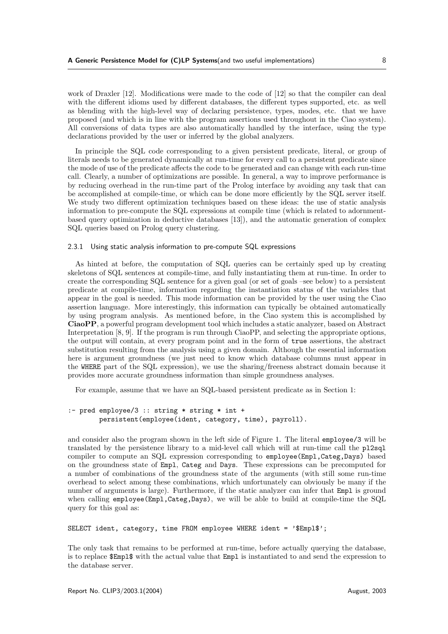work of Draxler [12]. Modifications were made to the code of [12] so that the compiler can deal with the different idioms used by different databases, the different types supported, etc. as well as blending with the high-level way of declaring persistence, types, modes, etc. that we have proposed (and which is in line with the program assertions used throughout in the Ciao system). All conversions of data types are also automatically handled by the interface, using the type declarations provided by the user or inferred by the global analyzers.

In principle the SQL code corresponding to a given persistent predicate, literal, or group of literals needs to be generated dynamically at run-time for every call to a persistent predicate since the mode of use of the predicate affects the code to be generated and can change with each run-time call. Clearly, a number of optimizations are possible. In general, a way to improve performance is by reducing overhead in the run-time part of the Prolog interface by avoiding any task that can be accomplished at compile-time, or which can be done more efficiently by the SQL server itself. We study two different optimization techniques based on these ideas: the use of static analysis information to pre-compute the SQL expressions at compile time (which is related to adornmentbased query optimization in deductive databases [13]), and the automatic generation of complex SQL queries based on Prolog query clustering.

#### 2.3.1 Using static analysis information to pre-compute SQL expressions

As hinted at before, the computation of SQL queries can be certainly sped up by creating skeletons of SQL sentences at compile-time, and fully instantiating them at run-time. In order to create the corresponding SQL sentence for a given goal (or set of goals –see below) to a persistent predicate at compile-time, information regarding the instantiation status of the variables that appear in the goal is needed. This mode information can be provided by the user using the Ciao assertion language. More interestingly, this information can typically be obtained automatically by using program analysis. As mentioned before, in the Ciao system this is accomplished by CiaoPP, a powerful program development tool which includes a static analyzer, based on Abstract Interpretation [8, 9]. If the program is run through CiaoPP, and selecting the appropriate options, the output will contain, at every program point and in the form of true assertions, the abstract substitution resulting from the analysis using a given domain. Although the essential information here is argument groundness (we just need to know which database columns must appear in the WHERE part of the SQL expression), we use the sharing/freeness abstract domain because it provides more accurate groundness information than simple groundness analyses.

For example, assume that we have an SQL-based persistent predicate as in Section 1:

#### :- pred employee/3 :: string \* string \* int + persistent(employee(ident, category, time), payroll).

and consider also the program shown in the left side of Figure 1. The literal employee/3 will be translated by the persistence library to a mid-level call which will at run-time call the pl2sql compiler to compute an SQL expression corresponding to employee(Empl,Categ,Days) based on the groundness state of Empl, Categ and Days. These expressions can be precomputed for a number of combinations of the groundness state of the arguments (with still some run-time overhead to select among these combinations, which unfortunately can obviously be many if the number of arguments is large). Furthermore, if the static analyzer can infer that Empl is ground when calling employee(Empl,Categ,Days), we will be able to build at compile-time the SQL query for this goal as:

SELECT ident, category, time FROM employee WHERE ident = '\$Empl\$';

The only task that remains to be performed at run-time, before actually querying the database, is to replace \$Empl\$ with the actual value that Empl is instantiated to and send the expression to the database server.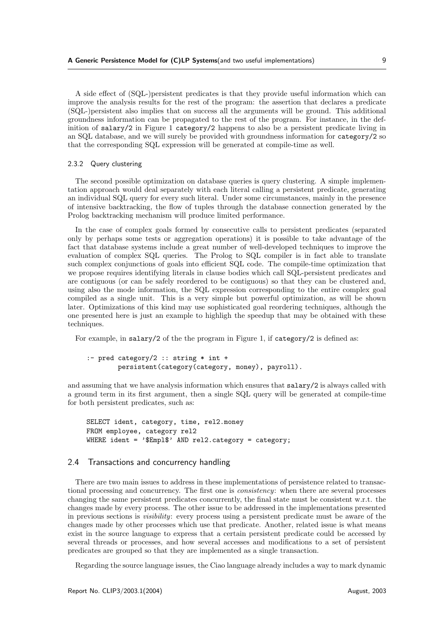A side effect of (SQL-)persistent predicates is that they provide useful information which can improve the analysis results for the rest of the program: the assertion that declares a predicate (SQL-)persistent also implies that on success all the arguments will be ground. This additional groundness information can be propagated to the rest of the program. For instance, in the definition of salary/2 in Figure 1 category/2 happens to also be a persistent predicate living in an SQL database, and we will surely be provided with groundness information for category/2 so that the corresponding SQL expression will be generated at compile-time as well.

#### 2.3.2 Query clustering

The second possible optimization on database queries is query clustering. A simple implementation approach would deal separately with each literal calling a persistent predicate, generating an individual SQL query for every such literal. Under some circumstances, mainly in the presence of intensive backtracking, the flow of tuples through the database connection generated by the Prolog backtracking mechanism will produce limited performance.

In the case of complex goals formed by consecutive calls to persistent predicates (separated only by perhaps some tests or aggregation operations) it is possible to take advantage of the fact that database systems include a great number of well-developed techniques to improve the evaluation of complex SQL queries. The Prolog to SQL compiler is in fact able to translate such complex conjunctions of goals into efficient SQL code. The compile-time optimization that we propose requires identifying literals in clause bodies which call SQL-persistent predicates and are contiguous (or can be safely reordered to be contiguous) so that they can be clustered and, using also the mode information, the SQL expression corresponding to the entire complex goal compiled as a single unit. This is a very simple but powerful optimization, as will be shown later. Optimizations of this kind may use sophisticated goal reordering techniques, although the one presented here is just an example to highligh the speedup that may be obtained with these techniques.

For example, in salary/2 of the the program in Figure 1, if category/2 is defined as:

```
:- pred category/2 :: string * int +
        persistent(category(category, money), payroll).
```
and assuming that we have analysis information which ensures that salary/2 is always called with a ground term in its first argument, then a single SQL query will be generated at compile-time for both persistent predicates, such as:

SELECT ident, category, time, rel2.money FROM employee, category rel2 WHERE ident = '\$Empl\$' AND rel2.category = category;

#### 2.4 Transactions and concurrency handling

There are two main issues to address in these implementations of persistence related to transactional processing and concurrency. The first one is consistency: when there are several processes changing the same persistent predicates concurrently, the final state must be consistent w.r.t. the changes made by every process. The other issue to be addressed in the implementations presented in previous sections is visibility: every process using a persistent predicate must be aware of the changes made by other processes which use that predicate. Another, related issue is what means exist in the source language to express that a certain persistent predicate could be accessed by several threads or processes, and how several accesses and modifications to a set of persistent predicates are grouped so that they are implemented as a single transaction.

Regarding the source language issues, the Ciao language already includes a way to mark dynamic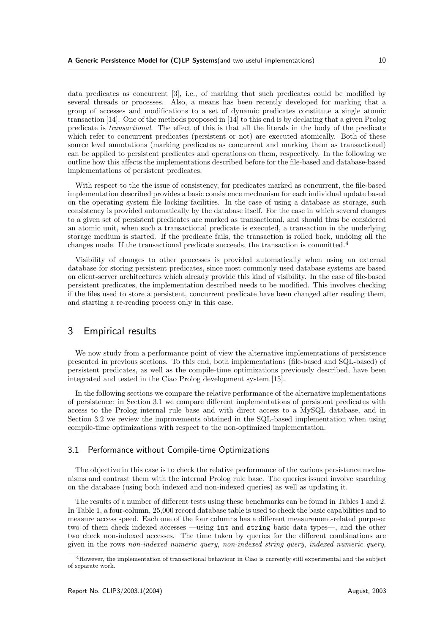data predicates as concurrent [3], i.e., of marking that such predicates could be modified by several threads or processes. Also, a means has been recently developed for marking that a group of accesses and modifications to a set of dynamic predicates constitute a single atomic transaction [14]. One of the methods proposed in [14] to this end is by declaring that a given Prolog predicate is transactional. The effect of this is that all the literals in the body of the predicate which refer to concurrent predicates (persistent or not) are executed atomically. Both of these source level annotations (marking predicates as concurrent and marking them as transactional) can be applied to persistent predicates and operations on them, respectively. In the following we outline how this affects the implementations described before for the file-based and database-based implementations of persistent predicates.

With respect to the the issue of consistency, for predicates marked as concurrent, the file-based implementation described provides a basic consistence mechanism for each individual update based on the operating system file locking facilities. In the case of using a database as storage, such consistency is provided automatically by the database itself. For the case in which several changes to a given set of persistent predicates are marked as transactional, and should thus be considered an atomic unit, when such a transactional predicate is executed, a transaction in the underlying storage medium is started. If the predicate fails, the transaction is rolled back, undoing all the changes made. If the transactional predicate succeeds, the transaction is committed.<sup>4</sup>

Visibility of changes to other processes is provided automatically when using an external database for storing persistent predicates, since most commonly used database systems are based on client-server architectures which already provide this kind of visibility. In the case of file-based persistent predicates, the implementation described needs to be modified. This involves checking if the files used to store a persistent, concurrent predicate have been changed after reading them, and starting a re-reading process only in this case.

### 3 Empirical results

We now study from a performance point of view the alternative implementations of persistence presented in previous sections. To this end, both implementations (file-based and SQL-based) of persistent predicates, as well as the compile-time optimizations previously described, have been integrated and tested in the Ciao Prolog development system [15].

In the following sections we compare the relative performance of the alternative implementations of persistence: in Section 3.1 we compare different implementations of persistent predicates with access to the Prolog internal rule base and with direct access to a MySQL database, and in Section 3.2 we review the improvements obtained in the SQL-based implementation when using compile-time optimizations with respect to the non-optimized implementation.

#### 3.1 Performance without Compile-time Optimizations

The objective in this case is to check the relative performance of the various persistence mechanisms and contrast them with the internal Prolog rule base. The queries issued involve searching on the database (using both indexed and non-indexed queries) as well as updating it.

The results of a number of different tests using these benchmarks can be found in Tables 1 and 2. In Table 1, a four-column, 25,000 record database table is used to check the basic capabilities and to measure access speed. Each one of the four columns has a different measurement-related purpose: two of them check indexed accesses —using int and string basic data types—, and the other two check non-indexed accesses. The time taken by queries for the different combinations are given in the rows non-indexed numeric query, non-indexed string query, indexed numeric query,

<sup>4</sup>However, the implementation of transactional behaviour in Ciao is currently still experimental and the subject of separate work.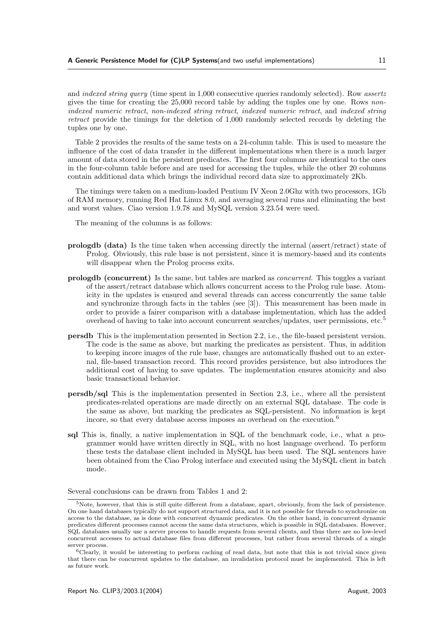and indexed string query (time spent in 1,000 consecutive queries randomly selected). Row assertz gives the time for creating the 25,000 record table by adding the tuples one by one. Rows nonindexed numeric retract, non-indexed string retract, indexed numeric retract, and indexed string retract provide the timings for the deletion of 1,000 randomly selected records by deleting the tuples one by one.

Table 2 provides the results of the same tests on a 24-column table. This is used to measure the influence of the cost of data transfer in the different implementations when there is a much larger amount of data stored in the persistent predicates. The first four columns are identical to the ones in the four-column table before and are used for accessing the tuples, while the other 20 columns contain additional data which brings the individual record data size to approximately 2Kb.

The timings were taken on a medium-loaded Pentium IV Xeon 2.0Ghz with two processors, 1Gb of RAM memory, running Red Hat Linux 8.0, and averaging several runs and eliminating the best and worst values. Ciao version 1.9.78 and MySQL version 3.23.54 were used.

The meaning of the columns is as follows:

- prologdb (data) Is the time taken when accessing directly the internal (assert/retract) state of Prolog. Obviously, this rule base is not persistent, since it is memory-based and its contents will disappear when the Prolog process exits.
- prologdb (concurrent) Is the same, but tables are marked as concurrent. This toggles a variant of the assert/retract database which allows concurrent access to the Prolog rule base. Atomicity in the updates is ensured and several threads can access concurrently the same table and synchronize through facts in the tables (see [3]). This measurement has been made in order to provide a fairer comparison with a database implementation, which has the added overhead of having to take into account concurrent searches/updates, user permissions, etc.<sup>5</sup>
- persdb This is the implementation presented in Section 2.2, i.e., the file-based persistent version. The code is the same as above, but marking the predicates as persistent. Thus, in addition to keeping incore images of the rule base, changes are automatically flushed out to an external, file-based transaction record. This record provides persistence, but also introduces the additional cost of having to save updates. The implementation ensures atomicity and also basic transactional behavior.
- persdb/sql This is the implementation presented in Section 2.3, i.e., where all the persistent predicates-related operations are made directly on an external SQL database. The code is the same as above, but marking the predicates as SQL-persistent. No information is kept incore, so that every database access imposes an overhead on the execution.<sup>6</sup>
- sql This is, finally, a native implementation in SQL of the benchmark code, i.e., what a programmer would have written directly in SQL, with no host language overhead. To perform these tests the database client included in MySQL has been used. The SQL sentences have been obtained from the Ciao Prolog interface and executed using the MySQL client in batch mode.

Several conclusions can be drawn from Tables 1 and 2:

 $5$ Note, however, that this is still quite different from a database, apart, obviously, from the lack of persistence. On one hand databases typically do not support structured data, and it is not possible for threads to synchronize on access to the database, as is done with concurrent dynamic predicates. On the other hand, in concurrent dynamic predicates different processes cannot access the same data structures, which is possible in SQL databases. However, SQL databases usually use a server process to handle requests from several clients, and thus there are no low-level concurrent accesses to actual database files from different processes, but rather from several threads of a single server process.

 $6$ Clearly, it would be interesting to perform caching of read data, but note that this is not trivial since given that there can be concurrent updates to the database, an invalidation protocol must be implemented. This is left as future work.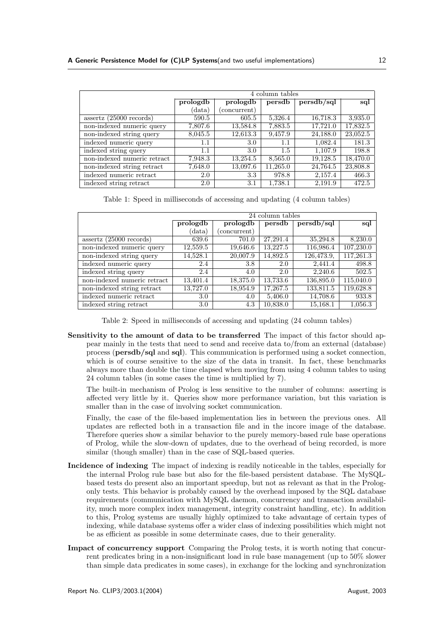|                             | 4 column tables |              |          |            |          |
|-----------------------------|-----------------|--------------|----------|------------|----------|
|                             | prologdb        | prologdb     | persdb   | persdb/sql | sql      |
|                             | (data)          | (concurrent) |          |            |          |
| $assertz$ (25000 records)   | 590.5           | 605.5        | 5,326.4  | 16,718.3   | 3,935.0  |
| non-indexed numeric query   | 7,807.6         | 13,584.8     | 7,883.5  | 17,721.0   | 17,832.5 |
| non-indexed string query    | 8,045.5         | 12,613.3     | 9,457.9  | 24,188.0   | 23,052.5 |
| indexed numeric query       | $1.1\,$         | 3.0          | $1.1\,$  | 1,082.4    | 181.3    |
| indexed string query        | 1.1             | 3.0          | 1.5      | 1,107.9    | 198.8    |
| non-indexed numeric retract | 7,948.3         | 13,254.5     | 8,565.0  | 19,128.5   | 18,470.0 |
| non-indexed string retract  | 7,648.0         | 13,097.6     | 11,265.0 | 24,764.5   | 23,808.8 |
| indexed numeric retract     | 2.0             | 3.3          | 978.8    | 2,157.4    | 466.3    |
| indexed string retract      | 2.0             | 3.1          | 1,738.1  | 2,191.9    | 472.5    |

Table 1: Speed in milliseconds of accessing and updating (4 column tables)

|                             | 24 column tables |              |          |            |           |
|-----------------------------|------------------|--------------|----------|------------|-----------|
|                             | prologdb         | prologdb     | persdb   | persdb/sql | sql       |
|                             | (data)           | (concurrent) |          |            |           |
| $assertz$ (25000 records)   | 639.6            | 701.0        | 27,291.4 | 35,294.8   | 8,230.0   |
| non-indexed numeric query   | 12,559.5         | 19,646.6     | 13,227.5 | 116,986.4  | 107,230.0 |
| non-indexed string query    | 14,528.1         | 20,007.9     | 14,892.5 | 126,473.9, | 117,261.3 |
| indexed numeric query       | 2.4              | 3.8          | 2.0      | 2.441.4    | 498.8     |
| indexed string query        | 2.4              | 4.0          | 2.0      | 2,240.6    | 502.5     |
| non-indexed numeric retract | 13,401.4         | 18,375.0     | 13,733.6 | 136,895.0  | 115,040.0 |
| non-indexed string retract  | 13,727.0         | 18,954.9     | 17,267.5 | 133,811.5  | 119,628.8 |
| indexed numeric retract     | 3.0              | 4.0          | 5,406.0  | 14,708.6   | 933.8     |
| indexed string retract      | 3.0              | 4.3          | 10,838.0 | 15,168.1   | 1,056.3   |

Table 2: Speed in milliseconds of accessing and updating (24 column tables)

Sensitivity to the amount of data to be transferred The impact of this factor should appear mainly in the tests that need to send and receive data to/from an external (database) process (persdb/sql and sql). This communication is performed using a socket connection, which is of course sensitive to the size of the data in transit. In fact, these benchmarks always more than double the time elapsed when moving from using 4 column tables to using 24 column tables (in some cases the time is multiplied by 7).

The built-in mechanism of Prolog is less sensitive to the number of columns: asserting is affected very little by it. Queries show more performance variation, but this variation is smaller than in the case of involving socket communication.

Finally, the case of the file-based implementation lies in between the previous ones. All updates are reflected both in a transaction file and in the incore image of the database. Therefore queries show a similar behavior to the purely memory-based rule base operations of Prolog, while the slow-down of updates, due to the overhead of being recorded, is more similar (though smaller) than in the case of SQL-based queries.

- Incidence of indexing The impact of indexing is readily noticeable in the tables, especially for the internal Prolog rule base but also for the file-based persistent database. The MySQLbased tests do present also an important speedup, but not as relevant as that in the Prologonly tests. This behavior is probably caused by the overhead imposed by the SQL database requirements (communication with MySQL daemon, concurrency and transaction availability, much more complex index management, integrity constraint handling, etc). In addition to this, Prolog systems are usually highly optimized to take advantage of certain types of indexing, while database systems offer a wider class of indexing possibilities which might not be as efficient as possible in some determinate cases, due to their generality.
- Impact of concurrency support Comparing the Prolog tests, it is worth noting that concurrent predicates bring in a non-insignificant load in rule base management (up to 50% slower than simple data predicates in some cases), in exchange for the locking and synchronization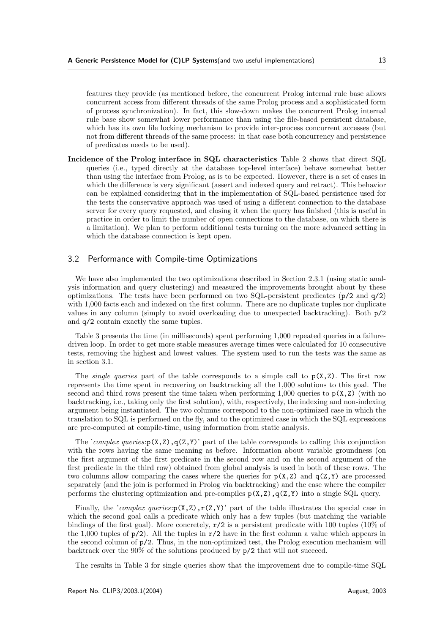features they provide (as mentioned before, the concurrent Prolog internal rule base allows concurrent access from different threads of the same Prolog process and a sophisticated form of process synchronization). In fact, this slow-down makes the concurrent Prolog internal rule base show somewhat lower performance than using the file-based persistent database, which has its own file locking mechanism to provide inter-process concurrent accesses (but not from different threads of the same process: in that case both concurrency and persistence of predicates needs to be used).

Incidence of the Prolog interface in SQL characteristics Table 2 shows that direct SQL queries (i.e., typed directly at the database top-level interface) behave somewhat better than using the interface from Prolog, as is to be expected. However, there is a set of cases in which the difference is very significant (assert and indexed query and retract). This behavior can be explained considering that in the implementation of SQL-based persistence used for the tests the conservative approach was used of using a different connection to the database server for every query requested, and closing it when the query has finished (this is useful in practice in order to limit the number of open connections to the database, on which there is a limitation). We plan to perform additional tests turning on the more advanced setting in which the database connection is kept open.

#### 3.2 Performance with Compile-time Optimizations

We have also implemented the two optimizations described in Section 2.3.1 (using static analysis information and query clustering) and measured the improvements brought about by these optimizations. The tests have been performed on two SQL-persistent predicates  $(p/2 \text{ and } q/2)$ with 1,000 facts each and indexed on the first column. There are no duplicate tuples nor duplicate values in any column (simply to avoid overloading due to unexpected backtracking). Both p/2 and q/2 contain exactly the same tuples.

Table 3 presents the time (in milliseconds) spent performing 1,000 repeated queries in a failuredriven loop. In order to get more stable measures average times were calculated for 10 consecutive tests, removing the highest and lowest values. The system used to run the tests was the same as in section 3.1.

The *single queries* part of the table corresponds to a simple call to  $p(X, Z)$ . The first row represents the time spent in recovering on backtracking all the 1,000 solutions to this goal. The second and third rows present the time taken when performing 1,000 queries to  $p(X,Z)$  (with no backtracking, i.e., taking only the first solution), with, respectively, the indexing and non-indexing argument being instantiated. The two columns correspond to the non-optimized case in which the translation to SQL is performed on the fly, and to the optimized case in which the SQL expressions are pre-computed at compile-time, using information from static analysis.

The 'complex queries: $p(X,Z),q(Z,Y)$ ' part of the table corresponds to calling this conjunction with the rows having the same meaning as before. Information about variable groundness (on the first argument of the first predicate in the second row and on the second argument of the first predicate in the third row) obtained from global analysis is used in both of these rows. The two columns allow comparing the cases where the queries for  $p(X,Z)$  and  $q(Z,Y)$  are processed separately (and the join is performed in Prolog via backtracking) and the case where the compiler performs the clustering optimization and pre-compiles  $p(X, Z)$ ,  $q(Z, Y)$  into a single SQL query.

Finally, the 'complex queries: $p(X,Z),r(Z,Y)$ ' part of the table illustrates the special case in which the second goal calls a predicate which only has a few tuples (but matching the variable bindings of the first goal). More concretely,  $r/2$  is a persistent predicate with 100 tuples (10% of the 1,000 tuples of  $p/2$ ). All the tuples in  $r/2$  have in the first column a value which appears in the second column of p/2. Thus, in the non-optimized test, the Prolog execution mechanism will backtrack over the 90% of the solutions produced by p/2 that will not succeed.

The results in Table 3 for single queries show that the improvement due to compile-time SQL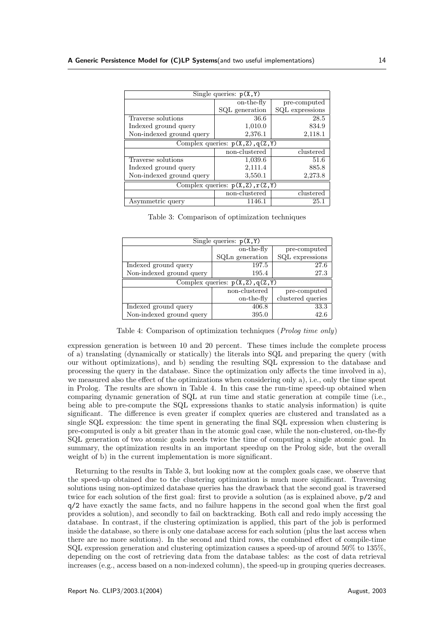| Single queries: $p(X, Y)$           |                |                 |  |  |
|-------------------------------------|----------------|-----------------|--|--|
|                                     | on-the-fly     | pre-computed    |  |  |
|                                     | SQL generation | SQL expressions |  |  |
| Traverse solutions                  | 36.6           | 28.5            |  |  |
| Indexed ground query                | 1,010.0        | 834.9           |  |  |
| Non-indexed ground query            | 2,376.1        | 2,118.1         |  |  |
| Complex queries: $p(X, Z), q(Z, Y)$ |                |                 |  |  |
|                                     | non-clustered  | clustered       |  |  |
| Traverse solutions                  | 1,039.6        | 51.6            |  |  |
| Indexed ground query                | 2,111.4        | 885.8           |  |  |
| Non-indexed ground query            | 3,550.1        | 2,273.8         |  |  |
| Complex queries: $p(X,Z), r(Z,Y)$   |                |                 |  |  |
|                                     |                |                 |  |  |
|                                     | non-clustered  | clustered       |  |  |

|  | Table 3: Comparison of optimization techniques |  |
|--|------------------------------------------------|--|
|  |                                                |  |

| Single queries: $p(X, Y)$         |                 |                   |  |  |  |
|-----------------------------------|-----------------|-------------------|--|--|--|
|                                   | on-the-fly      | pre-computed      |  |  |  |
|                                   | SQLn generation | SQL expressions   |  |  |  |
| Indexed ground query              | 197.5           | 27.6              |  |  |  |
| Non-indexed ground query          | 195.4           | 27.3              |  |  |  |
| Complex queries: $p(X,Z), q(Z,Y)$ |                 |                   |  |  |  |
|                                   |                 |                   |  |  |  |
|                                   | non-clustered   | pre-computed      |  |  |  |
|                                   | on-the-fly      | clustered queries |  |  |  |
| Indexed ground query              | 406.8           | 33.3              |  |  |  |

Table 4: Comparison of optimization techniques (Prolog time only)

expression generation is between 10 and 20 percent. These times include the complete process of a) translating (dynamically or statically) the literals into SQL and preparing the query (with our without optimizations), and b) sending the resulting SQL expression to the database and processing the query in the database. Since the optimization only affects the time involved in a), we measured also the effect of the optimizations when considering only a), i.e., only the time spent in Prolog. The results are shown in Table 4. In this case the run-time speed-up obtained when comparing dynamic generation of SQL at run time and static generation at compile time (i.e., being able to pre-compute the SQL expressions thanks to static analysis information) is quite significant. The difference is even greater if complex queries are clustered and translated as a single SQL expression: the time spent in generating the final SQL expression when clustering is pre-computed is only a bit greater than in the atomic goal case, while the non-clustered, on-the-fly SQL generation of two atomic goals needs twice the time of computing a single atomic goal. In summary, the optimization results in an important speedup on the Prolog side, but the overall weight of b) in the current implementation is more significant.

Returning to the results in Table 3, but looking now at the complex goals case, we observe that the speed-up obtained due to the clustering optimization is much more significant. Traversing solutions using non-optimized database queries has the drawback that the second goal is traversed twice for each solution of the first goal: first to provide a solution (as is explained above, p/2 and q/2 have exactly the same facts, and no failure happens in the second goal when the first goal provides a solution), and secondly to fail on backtracking. Both call and redo imply accessing the database. In contrast, if the clustering optimization is applied, this part of the job is performed inside the database, so there is only one database access for each solution (plus the last access when there are no more solutions). In the second and third rows, the combined effect of compile-time SQL expression generation and clustering optimization causes a speed-up of around 50% to 135%, depending on the cost of retrieving data from the database tables: as the cost of data retrieval increases (e.g., access based on a non-indexed column), the speed-up in grouping queries decreases.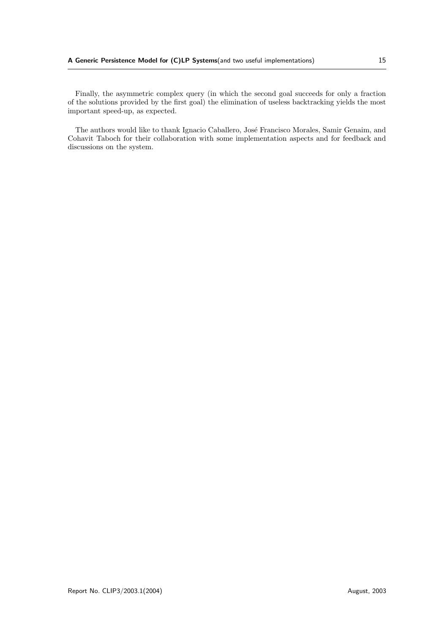Finally, the asymmetric complex query (in which the second goal succeeds for only a fraction of the solutions provided by the first goal) the elimination of useless backtracking yields the most important speed-up, as expected.

The authors would like to thank Ignacio Caballero, José Francisco Morales, Samir Genaim, and Cohavit Taboch for their collaboration with some implementation aspects and for feedback and discussions on the system.